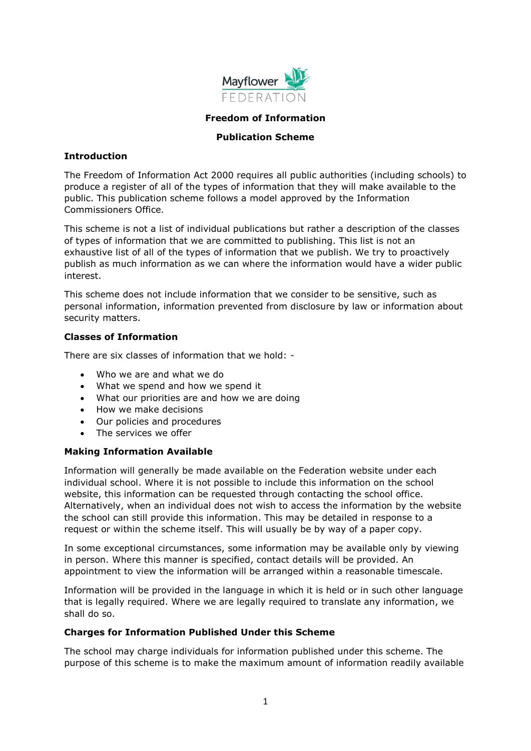

### **Freedom of Information**

### **Publication Scheme**

#### **Introduction**

The Freedom of Information Act 2000 requires all public authorities (including schools) to produce a register of all of the types of information that they will make available to the public. This publication scheme follows a model approved by the Information Commissioners Office.

This scheme is not a list of individual publications but rather a description of the classes of types of information that we are committed to publishing. This list is not an exhaustive list of all of the types of information that we publish. We try to proactively publish as much information as we can where the information would have a wider public interest.

This scheme does not include information that we consider to be sensitive, such as personal information, information prevented from disclosure by law or information about security matters.

## **Classes of Information**

There are six classes of information that we hold: -

- Who we are and what we do
- What we spend and how we spend it
- What our priorities are and how we are doing
- How we make decisions
- Our policies and procedures
- The services we offer

## **Making Information Available**

Information will generally be made available on the Federation website under each individual school. Where it is not possible to include this information on the school website, this information can be requested through contacting the school office. Alternatively, when an individual does not wish to access the information by the website the school can still provide this information. This may be detailed in response to a request or within the scheme itself. This will usually be by way of a paper copy.

In some exceptional circumstances, some information may be available only by viewing in person. Where this manner is specified, contact details will be provided. An appointment to view the information will be arranged within a reasonable timescale.

Information will be provided in the language in which it is held or in such other language that is legally required. Where we are legally required to translate any information, we shall do so.

## **Charges for Information Published Under this Scheme**

The school may charge individuals for information published under this scheme. The purpose of this scheme is to make the maximum amount of information readily available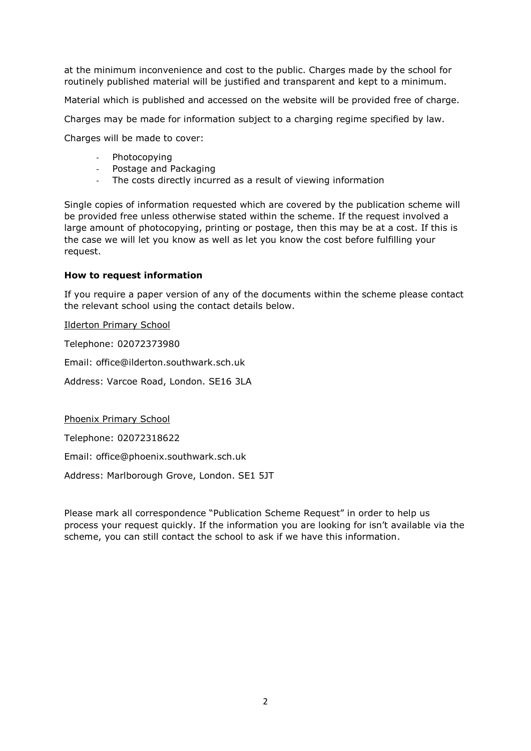at the minimum inconvenience and cost to the public. Charges made by the school for routinely published material will be justified and transparent and kept to a minimum.

Material which is published and accessed on the website will be provided free of charge.

Charges may be made for information subject to a charging regime specified by law.

Charges will be made to cover:

- Photocopying
- Postage and Packaging
- The costs directly incurred as a result of viewing information

Single copies of information requested which are covered by the publication scheme will be provided free unless otherwise stated within the scheme. If the request involved a large amount of photocopying, printing or postage, then this may be at a cost. If this is the case we will let you know as well as let you know the cost before fulfilling your request.

### **How to request information**

If you require a paper version of any of the documents within the scheme please contact the relevant school using the contact details below.

Ilderton Primary School

Telephone: 02072373980

Email: office@ilderton.southwark.sch.uk

Address: Varcoe Road, London. SE16 3LA

Phoenix Primary School

Telephone: 02072318622

Email: office@phoenix.southwark.sch.uk

Address: Marlborough Grove, London. SE1 5JT

Please mark all correspondence "Publication Scheme Request" in order to help us process your request quickly. If the information you are looking for isn't available via the scheme, you can still contact the school to ask if we have this information.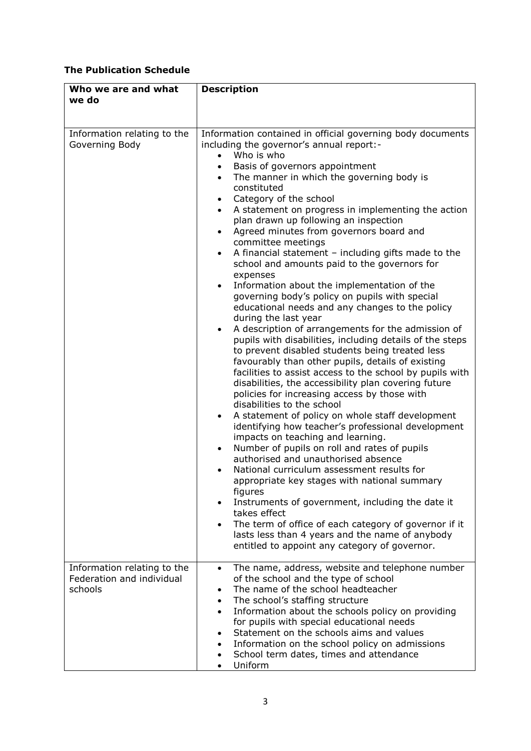# **The Publication Schedule**

| Who we are and what<br>we do                                        | <b>Description</b>                                                                                                                                                                                                                                                                                                                                                                                                                                                                                                                                                                                                                                                                                                                                                                                                                                                                                                                                                                                                                                                                                                                                                                                                                                                                                                                                                                                                                                                                                                                                                                                                                                                                                                                                                                                                                                       |
|---------------------------------------------------------------------|----------------------------------------------------------------------------------------------------------------------------------------------------------------------------------------------------------------------------------------------------------------------------------------------------------------------------------------------------------------------------------------------------------------------------------------------------------------------------------------------------------------------------------------------------------------------------------------------------------------------------------------------------------------------------------------------------------------------------------------------------------------------------------------------------------------------------------------------------------------------------------------------------------------------------------------------------------------------------------------------------------------------------------------------------------------------------------------------------------------------------------------------------------------------------------------------------------------------------------------------------------------------------------------------------------------------------------------------------------------------------------------------------------------------------------------------------------------------------------------------------------------------------------------------------------------------------------------------------------------------------------------------------------------------------------------------------------------------------------------------------------------------------------------------------------------------------------------------------------|
| Information relating to the<br>Governing Body                       | Information contained in official governing body documents<br>including the governor's annual report:-<br>Who is who<br>Basis of governors appointment<br>The manner in which the governing body is<br>$\bullet$<br>constituted<br>Category of the school<br>$\bullet$<br>A statement on progress in implementing the action<br>$\bullet$<br>plan drawn up following an inspection<br>Agreed minutes from governors board and<br>$\bullet$<br>committee meetings<br>A financial statement $-$ including gifts made to the<br>$\bullet$<br>school and amounts paid to the governors for<br>expenses<br>Information about the implementation of the<br>$\bullet$<br>governing body's policy on pupils with special<br>educational needs and any changes to the policy<br>during the last year<br>A description of arrangements for the admission of<br>$\bullet$<br>pupils with disabilities, including details of the steps<br>to prevent disabled students being treated less<br>favourably than other pupils, details of existing<br>facilities to assist access to the school by pupils with<br>disabilities, the accessibility plan covering future<br>policies for increasing access by those with<br>disabilities to the school<br>A statement of policy on whole staff development<br>٠<br>identifying how teacher's professional development<br>impacts on teaching and learning.<br>Number of pupils on roll and rates of pupils<br>٠<br>authorised and unauthorised absence<br>National curriculum assessment results for<br>appropriate key stages with national summary<br>figures<br>Instruments of government, including the date it<br>$\bullet$<br>takes effect<br>The term of office of each category of governor if it<br>$\bullet$<br>lasts less than 4 years and the name of anybody<br>entitled to appoint any category of governor. |
| Information relating to the<br>Federation and individual<br>schools | The name, address, website and telephone number<br>$\bullet$<br>of the school and the type of school<br>The name of the school headteacher<br>$\bullet$<br>The school's staffing structure<br>$\bullet$<br>Information about the schools policy on providing<br>$\bullet$<br>for pupils with special educational needs<br>Statement on the schools aims and values<br>$\bullet$<br>Information on the school policy on admissions<br>$\bullet$<br>School term dates, times and attendance<br>$\bullet$<br>Uniform<br>$\bullet$                                                                                                                                                                                                                                                                                                                                                                                                                                                                                                                                                                                                                                                                                                                                                                                                                                                                                                                                                                                                                                                                                                                                                                                                                                                                                                                           |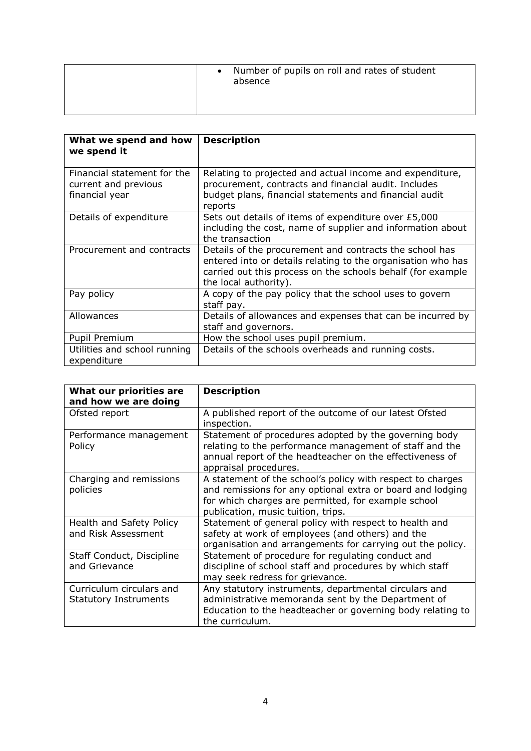|  | • Number of pupils on roll and rates of student<br>absence |
|--|------------------------------------------------------------|
|--|------------------------------------------------------------|

| What we spend and how<br>we spend it                                  | <b>Description</b>                                                                                                                                                                                              |
|-----------------------------------------------------------------------|-----------------------------------------------------------------------------------------------------------------------------------------------------------------------------------------------------------------|
| Financial statement for the<br>current and previous<br>financial year | Relating to projected and actual income and expenditure,<br>procurement, contracts and financial audit. Includes<br>budget plans, financial statements and financial audit<br>reports                           |
| Details of expenditure                                                | Sets out details of items of expenditure over £5,000<br>including the cost, name of supplier and information about<br>the transaction                                                                           |
| Procurement and contracts                                             | Details of the procurement and contracts the school has<br>entered into or details relating to the organisation who has<br>carried out this process on the schools behalf (for example<br>the local authority). |
| Pay policy                                                            | A copy of the pay policy that the school uses to govern<br>staff pay.                                                                                                                                           |
| Allowances                                                            | Details of allowances and expenses that can be incurred by<br>staff and governors.                                                                                                                              |
| Pupil Premium                                                         | How the school uses pupil premium.                                                                                                                                                                              |
| Utilities and school running<br>expenditure                           | Details of the schools overheads and running costs.                                                                                                                                                             |

| What our priorities are<br>and how we are doing          | <b>Description</b>                                                                                                                                                                                                    |
|----------------------------------------------------------|-----------------------------------------------------------------------------------------------------------------------------------------------------------------------------------------------------------------------|
| Ofsted report                                            | A published report of the outcome of our latest Ofsted<br>inspection.                                                                                                                                                 |
| Performance management<br>Policy                         | Statement of procedures adopted by the governing body<br>relating to the performance management of staff and the<br>annual report of the headteacher on the effectiveness of<br>appraisal procedures.                 |
| Charging and remissions<br>policies                      | A statement of the school's policy with respect to charges<br>and remissions for any optional extra or board and lodging<br>for which charges are permitted, for example school<br>publication, music tuition, trips. |
| Health and Safety Policy<br>and Risk Assessment          | Statement of general policy with respect to health and<br>safety at work of employees (and others) and the<br>organisation and arrangements for carrying out the policy.                                              |
| Staff Conduct, Discipline<br>and Grievance               | Statement of procedure for regulating conduct and<br>discipline of school staff and procedures by which staff<br>may seek redress for grievance.                                                                      |
| Curriculum circulars and<br><b>Statutory Instruments</b> | Any statutory instruments, departmental circulars and<br>administrative memoranda sent by the Department of<br>Education to the headteacher or governing body relating to<br>the curriculum.                          |